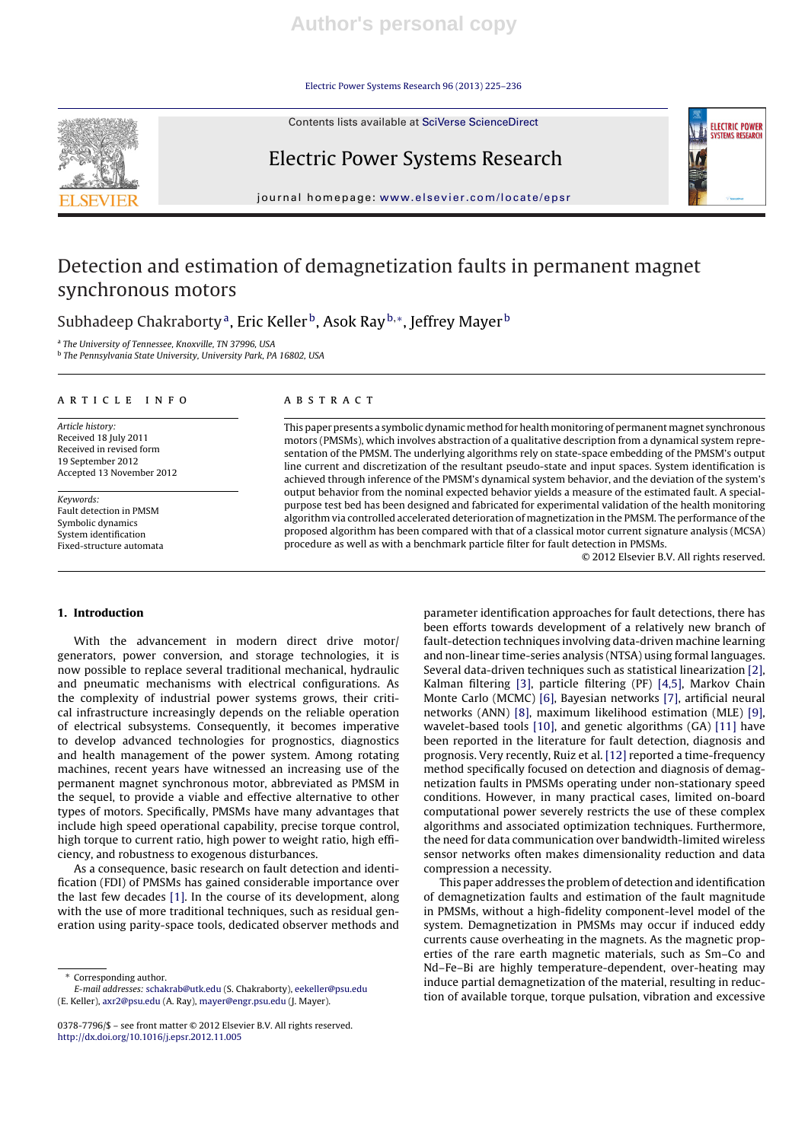Electric Power Systems Research 96 (2013) 225–236

Contents lists available at SciVerse ScienceDirect



# Electric Power Systems Research

jour nal homepage: www.elsevier.com/locate/epsr

# Detection and estimation of demagnetization faults in permanent magnet synchronous motors

Subhadeep Chakraborty<sup>a</sup>, Eric Keller<sup>b</sup>, Asok Ray<sup>b,∗</sup>, Jeffrey Mayer<sup>b</sup>

<sup>a</sup> The University of Tennessee, Knoxville, TN 37996, USA

<sup>b</sup> The Pennsylvania State University, University Park, PA 16802, USA

# a r t i c l e i n f o

Article history: Received 18 July 2011 Received in revised form 19 September 2012 Accepted 13 November 2012

Keywords: Fault detection in PMSM Symbolic dynamics System identification Fixed-structure automata

# A B S T R A C T

This paper presents a symbolic dynamic method for health monitoring of permanent magnet synchronous motors (PMSMs), which involves abstraction of a qualitative description from a dynamical system representation of the PMSM. The underlying algorithms rely on state-space embedding of the PMSM's output line current and discretization of the resultant pseudo-state and input spaces. System identification is achieved through inference of the PMSM's dynamical system behavior, and the deviation of the system's output behavior from the nominal expected behavior yields a measure of the estimated fault. A specialpurpose test bed has been designed and fabricated for experimental validation of the health monitoring algorithm via controlled accelerated deterioration of magnetization in the PMSM. The performance ofthe proposed algorithm has been compared with that of a classical motor current signature analysis (MCSA) procedure as well as with a benchmark particle filter for fault detection in PMSMs.

© 2012 Elsevier B.V. All rights reserved.

**ELECTRIC POWER CYSTEMS RESEARCH** 

# **1. Introduction**

With the advancement in modern direct drive motor/ generators, power conversion, and storage technologies, it is now possible to replace several traditional mechanical, hydraulic and pneumatic mechanisms with electrical configurations. As the complexity of industrial power systems grows, their critical infrastructure increasingly depends on the reliable operation of electrical subsystems. Consequently, it becomes imperative to develop advanced technologies for prognostics, diagnostics and health management of the power system. Among rotating machines, recent years have witnessed an increasing use of the permanent magnet synchronous motor, abbreviated as PMSM in the sequel, to provide a viable and effective alternative to other types of motors. Specifically, PMSMs have many advantages that include high speed operational capability, precise torque control, high torque to current ratio, high power to weight ratio, high efficiency, and robustness to exogenous disturbances.

As a consequence, basic research on fault detection and identification (FDI) of PMSMs has gained considerable importance over the last few decades [1]. In the course of its development, along with the use of more traditional techniques, such as residual generation using parity-space tools, dedicated observer methods and

Corresponding author.

parameter identification approaches for fault detections, there has been efforts towards development of a relatively new branch of fault-detection techniques involving data-driven machine learning and non-linear time-series analysis (NTSA) using formal languages. Several data-driven techniques such as statistical linearization [2], Kalman filtering [3], particle filtering (PF) [4,5], Markov Chain Monte Carlo (MCMC) [6], Bayesian networks [7], artificial neural networks (ANN) [8], maximum likelihood estimation (MLE) [9], wavelet-based tools [10], and genetic algorithms (GA) [11] have been reported in the literature for fault detection, diagnosis and prognosis. Very recently, Ruiz et al. [12] reported a time-frequency method specifically focused on detection and diagnosis of demagnetization faults in PMSMs operating under non-stationary speed conditions. However, in many practical cases, limited on-board computational power severely restricts the use of these complex algorithms and associated optimization techniques. Furthermore, the need for data communication over bandwidth-limited wireless sensor networks often makes dimensionality reduction and data compression a necessity.

This paper addresses the problem of detection and identification of demagnetization faults and estimation of the fault magnitude in PMSMs, without a high-fidelity component-level model of the system. Demagnetization in PMSMs may occur if induced eddy currents cause overheating in the magnets. As the magnetic properties of the rare earth magnetic materials, such as Sm–Co and Nd–Fe–Bi are highly temperature-dependent, over-heating may induce partial demagnetization of the material, resulting in reduction of available torque, torque pulsation, vibration and excessive

E-mail addresses: schakrab@utk.edu (S. Chakraborty), eekeller@psu.edu (E. Keller), axr2@psu.edu (A. Ray), mayer@engr.psu.edu (J. Mayer).

<sup>0378-7796/\$</sup> – see front matter © 2012 Elsevier B.V. All rights reserved. http://dx.doi.org/10.1016/j.epsr.2012.11.005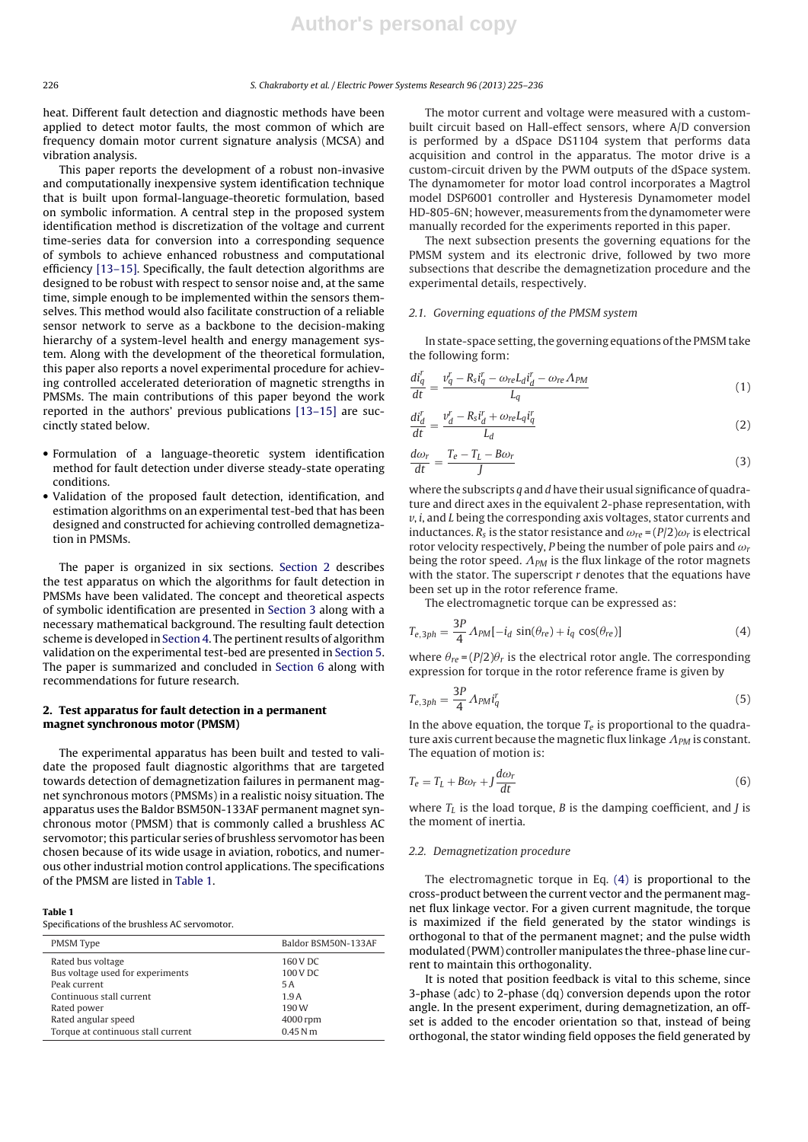heat. Different fault detection and diagnostic methods have been applied to detect motor faults, the most common of which are frequency domain motor current signature analysis (MCSA) and vibration analysis.

This paper reports the development of a robust non-invasive and computationally inexpensive system identification technique that is built upon formal-language-theoretic formulation, based on symbolic information. A central step in the proposed system identification method is discretization of the voltage and current time-series data for conversion into a corresponding sequence of symbols to achieve enhanced robustness and computational efficiency [13–15]. Specifically, the fault detection algorithms are designed to be robust with respect to sensor noise and, at the same time, simple enough to be implemented within the sensors themselves. This method would also facilitate construction of a reliable sensor network to serve as a backbone to the decision-making hierarchy of a system-level health and energy management system. Along with the development of the theoretical formulation, this paper also reports a novel experimental procedure for achieving controlled accelerated deterioration of magnetic strengths in PMSMs. The main contributions of this paper beyond the work reported in the authors' previous publications [13–15] are succinctly stated below.

- Formulation of a language-theoretic system identification method for fault detection under diverse steady-state operating conditions.
- Validation of the proposed fault detection, identification, and estimation algorithms on an experimental test-bed that has been designed and constructed for achieving controlled demagnetization in PMSMs.

The paper is organized in six sections. Section 2 describes the test apparatus on which the algorithms for fault detection in PMSMs have been validated. The concept and theoretical aspects of symbolic identification are presented in Section 3 along with a necessary mathematical background. The resulting fault detection scheme is developed in Section 4. The pertinent results of algorithm validation on the experimental test-bed are presented in Section 5. The paper is summarized and concluded in Section 6 along with recommendations for future research.

# **2. Test apparatus for fault detection in a permanent magnet synchronous motor (PMSM)**

The experimental apparatus has been built and tested to validate the proposed fault diagnostic algorithms that are targeted towards detection of demagnetization failures in permanent magnet synchronous motors (PMSMs) in a realistic noisy situation. The apparatus uses the Baldor BSM50N-133AF permanent magnet synchronous motor (PMSM) that is commonly called a brushless AC servomotor; this particular series of brushless servomotor has been chosen because of its wide usage in aviation, robotics, and numerous other industrial motion control applications. The specifications of the PMSM are listed in Table 1.

# **Table 1**

Specifications of the brushless AC servomotor.

| PMSM Type                          | Baldor BSM50N-133AF |
|------------------------------------|---------------------|
| Rated bus voltage                  | 160 V DC            |
| Bus voltage used for experiments   | $100V$ DC           |
| Peak current                       | 5 A                 |
| Continuous stall current           | 1.9A                |
| Rated power                        | 190 W               |
| Rated angular speed                | 4000 rpm            |
| Torque at continuous stall current | $0.45N$ m           |

The motor current and voltage were measured with a custombuilt circuit based on Hall-effect sensors, where A/D conversion is performed by a dSpace DS1104 system that performs data acquisition and control in the apparatus. The motor drive is a custom-circuit driven by the PWM outputs of the dSpace system. The dynamometer for motor load control incorporates a Magtrol model DSP6001 controller and Hysteresis Dynamometer model HD-805-6N; however, measurements from the dynamometer were manually recorded for the experiments reported in this paper.

The next subsection presents the governing equations for the PMSM system and its electronic drive, followed by two more subsections that describe the demagnetization procedure and the experimental details, respectively.

#### 2.1. Governing equations of the PMSM system

In state-space setting, the governing equations of the PMSM take the following form:

$$
\frac{di_q^r}{dt} = \frac{v_q^r - R_s i_q^r - \omega_{re} L_d i_d^r - \omega_{re} \Lambda_{PM}}{L_q} \tag{1}
$$

$$
\frac{di_d^r}{dt} = \frac{v_d^r - R_s i_d^r + \omega_{re} L_q i_q^r}{L_d} \tag{2}
$$

$$
\frac{d\omega_r}{dt} = \frac{T_e - T_L - B\omega_r}{J} \tag{3}
$$

where the subscripts q and  $d$  have their usual significance of quadrature and direct axes in the equivalent 2-phase representation, with  $\nu$ ,  $i$ , and  $L$  being the corresponding axis voltages, stator currents and inductances.  $R_s$  is the stator resistance and  $\omega_{re} = (P/2)\omega_r$  is electrical rotor velocity respectively, P being the number of pole pairs and  $\omega_r$ being the rotor speed.  $A_{PM}$  is the flux linkage of the rotor magnets with the stator. The superscript  $r$  denotes that the equations have been set up in the rotor reference frame.

The electromagnetic torque can be expressed as:

$$
T_{e,3ph} = \frac{3P}{4} \Lambda_{PM} [-i_d \sin(\theta_{re}) + i_q \cos(\theta_{re})]
$$
 (4)

where  $\theta_{re} = (P/2)\theta_r$  is the electrical rotor angle. The corresponding expression for torque in the rotor reference frame is given by

$$
T_{e,3ph} = \frac{3P}{4} A_{PM} i_q^r \tag{5}
$$

In the above equation, the torque  $T_e$  is proportional to the quadrature axis current because the magnetic flux linkage  $\Lambda_{PM}$  is constant. The equation of motion is:

$$
T_e = T_L + B\omega_r + J\frac{d\omega_r}{dt} \tag{6}
$$

where  $T_L$  is the load torque, B is the damping coefficient, and J is the moment of inertia.

# 2.2. Demagnetization procedure

The electromagnetic torque in Eq. (4) is proportional to the cross-product between the current vector and the permanent magnet flux linkage vector. For a given current magnitude, the torque is maximized if the field generated by the stator windings is orthogonal to that of the permanent magnet; and the pulse width modulated (PWM) controller manipulates the three-phase line current to maintain this orthogonality.

It is noted that position feedback is vital to this scheme, since 3-phase (adc) to 2-phase (dq) conversion depends upon the rotor angle. In the present experiment, during demagnetization, an offset is added to the encoder orientation so that, instead of being orthogonal, the stator winding field opposes the field generated by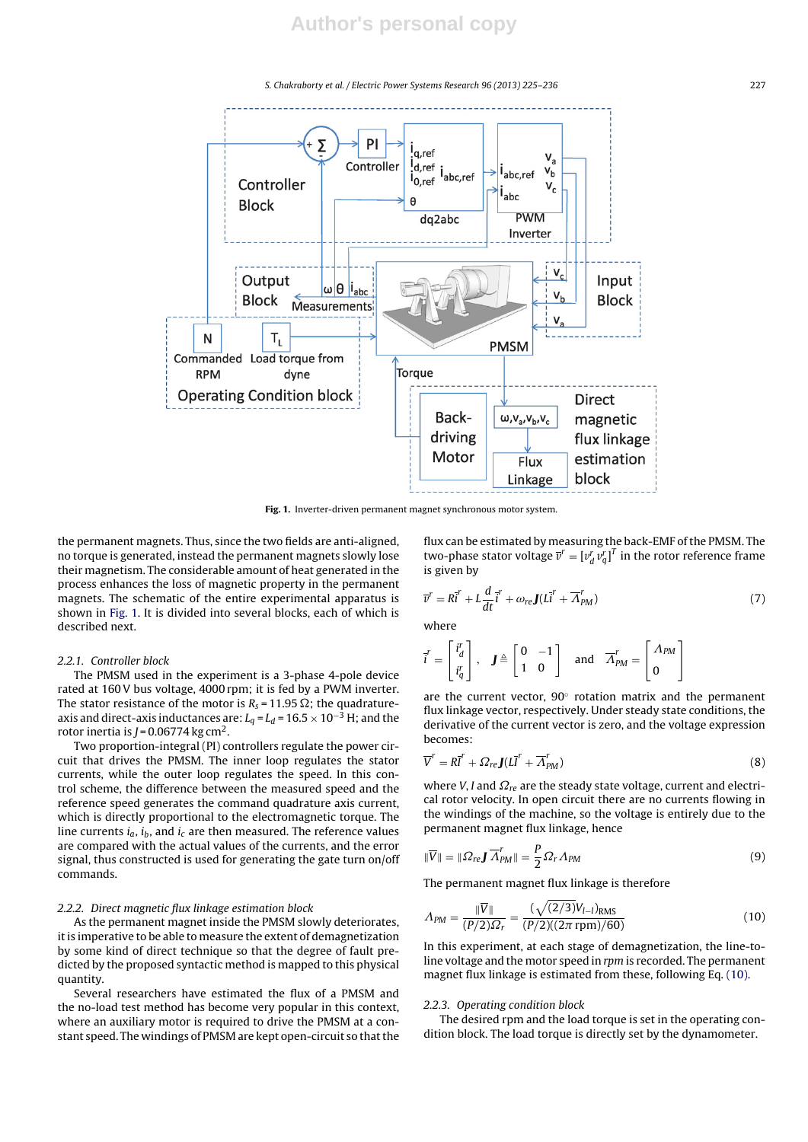S. Chakraborty et al. / Electric Power Systems Research *96 (2013) 225–236* 227



**Fig. 1.** Inverter-driven permanent magnet synchronous motor system.

the permanent magnets. Thus, since the two fields are anti-aligned, no torque is generated, instead the permanent magnets slowly lose their magnetism. The considerable amount of heat generated in the process enhances the loss of magnetic property in the permanent magnets. The schematic of the entire experimental apparatus is shown in Fig. 1. It is divided into several blocks, each of which is described next.

#### 2.2.1. Controller block

The PMSM used in the experiment is a 3-phase 4-pole device rated at 160V bus voltage, 4000 rpm; it is fed by a PWM inverter. The stator resistance of the motor is  $R_s = 11.95 \Omega$ ; the quadratureaxis and direct-axis inductances are:  $L_q = L_d = 16.5 \times 10^{-3}$  H; and the rotor inertia is  $J = 0.06774$  kg cm<sup>2</sup>.

Two proportion-integral (PI) controllers regulate the power circuit that drives the PMSM. The inner loop regulates the stator currents, while the outer loop regulates the speed. In this control scheme, the difference between the measured speed and the reference speed generates the command quadrature axis current, which is directly proportional to the electromagnetic torque. The line currents  $i_a$ ,  $i_b$ , and  $i_c$  are then measured. The reference values are compared with the actual values of the currents, and the error signal, thus constructed is used for generating the gate turn on/off commands.

#### 2.2.2. Direct magnetic flux linkage estimation block

As the permanent magnet inside the PMSM slowly deteriorates, it is imperative to be able to measure the extent of demagnetization by some kind of direct technique so that the degree of fault predicted by the proposed syntactic method is mapped to this physical quantity.

Several researchers have estimated the flux of a PMSM and the no-load test method has become very popular in this context, where an auxiliary motor is required to drive the PMSM at a constant speed. The windings of PMSM are kept open-circuit so that the flux can be estimated by measuring the back-EMF of the PMSM. The two-phase stator voltage  $\overline{v}^r = [v_d^r v_q^r]^T$  in the rotor reference frame is given by

$$
\overline{v}^r = R\overline{i}^r + L\frac{d}{dt}\overline{i}^r + \omega_{re}J(L\overline{i}^r + \overline{\Lambda}_{PM}^r)
$$
\nwhere

 $\big[$   $\Lambda_{PM}$  $\mathbf 0$ 

 $\overline{1}$ 

 $\overline{i}^r =$  $\int i_d^r$ 1  $\mathbf{J} \triangleq \begin{bmatrix} 0 & -1 \\ 1 & 0 \end{bmatrix}$ 1 0 and  $\overline{\Lambda}_{PM}^r =$ 

 $i_q^r$ 

are the current vector, 90◦ rotation matrix and the permanent flux linkage vector, respectively. Under steady state conditions, the derivative of the current vector is zero, and the voltage expression becomes:

$$
\overline{V}^r = R\overline{I}^r + \Omega_{re} \mathbf{J}(L\overline{I}^r + \overline{\Lambda}_{PM}^r)
$$
\n(8)

where V, I and  $\Omega_{re}$  are the steady state voltage, current and electrical rotor velocity. In open circuit there are no currents flowing in the windings of the machine, so the voltage is entirely due to the permanent magnet flux linkage, hence

$$
\|\overline{V}\| = \|\Omega_{re} \mathbf{J} \overline{\Lambda}_{PM}^r\| = \frac{P}{2} \Omega_r \Lambda_{PM}
$$
\n(9)

The permanent magnet flux linkage is therefore

$$
\Lambda_{PM} = \frac{\|\overline{V}\|}{(P/2)\Omega_r} = \frac{(\sqrt{(2/3)}V_{l-l})_{\text{RMS}}}{(P/2)((2\pi \, \text{rpm})/60)}\tag{10}
$$

In this experiment, at each stage of demagnetization, the line-toline voltage and the motor speed in rpm is recorded. The permanent magnet flux linkage is estimated from these, following Eq. (10).

# 2.2.3. Operating condition block

The desired rpm and the load torque is set in the operating condition block. The load torque is directly set by the dynamometer.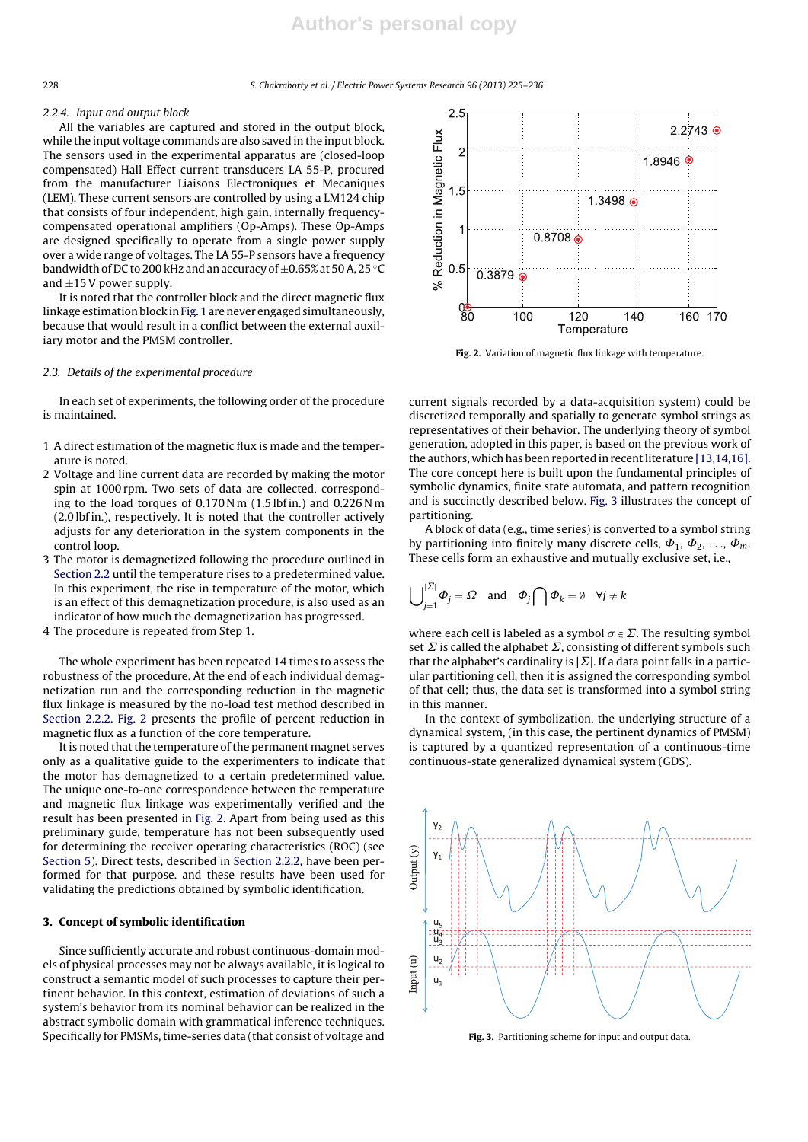#### 2.2.4. Input and output block

All the variables are captured and stored in the output block, while the input voltage commands are also saved in the input block. The sensors used in the experimental apparatus are (closed-loop compensated) Hall Effect current transducers LA 55-P, procured from the manufacturer Liaisons Electroniques et Mecaniques (LEM). These current sensors are controlled by using a LM124 chip that consists of four independent, high gain, internally frequencycompensated operational amplifiers (Op-Amps). These Op-Amps are designed specifically to operate from a single power supply over a wide range of voltages. The LA 55-P sensors have a frequency bandwidth of DC to 200 kHz and an accuracy of ±0.65% at 50A, 25 ◦C and  $\pm$ 15 V power supply.

It is noted that the controller block and the direct magnetic flux linkage estimation block in Fig. 1 are never engaged simultaneously, because that would result in a conflict between the external auxiliary motor and the PMSM controller.

#### 2.3. Details of the experimental procedure

In each set of experiments, the following order of the procedure is maintained.

- 1 A direct estimation of the magnetic flux is made and the temperature is noted.
- 2 Voltage and line current data are recorded by making the motor spin at 1000 rpm. Two sets of data are collected, corresponding to the load torques of 0.170 N m (1.5 lbfin.) and 0.226 N m (2.0 lbfin.), respectively. It is noted that the controller actively adjusts for any deterioration in the system components in the control loop.
- 3 The motor is demagnetized following the procedure outlined in Section 2.2 until the temperature rises to a predetermined value. In this experiment, the rise in temperature of the motor, which is an effect of this demagnetization procedure, is also used as an indicator of how much the demagnetization has progressed.
- 4 The procedure is repeated from Step 1.

The whole experiment has been repeated 14 times to assess the robustness of the procedure. At the end of each individual demagnetization run and the corresponding reduction in the magnetic flux linkage is measured by the no-load test method described in Section 2.2.2. Fig. 2 presents the profile of percent reduction in magnetic flux as a function of the core temperature.

It is noted that the temperature of the permanent magnet serves only as a qualitative guide to the experimenters to indicate that the motor has demagnetized to a certain predetermined value. The unique one-to-one correspondence between the temperature and magnetic flux linkage was experimentally verified and the result has been presented in Fig. 2. Apart from being used as this preliminary guide, temperature has not been subsequently used for determining the receiver operating characteristics (ROC) (see Section 5). Direct tests, described in Section 2.2.2, have been performed for that purpose. and these results have been used for validating the predictions obtained by symbolic identification.

# **3. Concept of symbolic identification**

Since sufficiently accurate and robust continuous-domain models of physical processes may not be always available, it is logical to construct a semantic model of such processes to capture their pertinent behavior. In this context, estimation of deviations of such a system's behavior from its nominal behavior can be realized in the abstract symbolic domain with grammatical inference techniques. Specifically for PMSMs, time-series data (that consist of voltage and



**Fig. 2.** Variation of magnetic flux linkage with temperature.

current signals recorded by a data-acquisition system) could be discretized temporally and spatially to generate symbol strings as representatives of their behavior. The underlying theory of symbol generation, adopted in this paper, is based on the previous work of the authors, which has been reported in recent literature  $[13,14,16]$ . The core concept here is built upon the fundamental principles of symbolic dynamics, finite state automata, and pattern recognition and is succinctly described below. Fig. 3 illustrates the concept of partitioning.

A block of data (e.g., time series) is converted to a symbol string by partitioning into finitely many discrete cells,  $\Phi_1$ ,  $\Phi_2$ , ...,  $\Phi_m$ . These cells form an exhaustive and mutually exclusive set, i.e.,

$$
\bigcup_{j=1}^{|\Sigma|} \Phi_j = \Omega \quad \text{and} \quad \Phi_j \bigcap \Phi_k = \emptyset \quad \forall j \neq k
$$

where each cell is labeled as a symbol  $\sigma \in \Sigma$ . The resulting symbol set  $\Sigma$  is called the alphabet  $\Sigma$ , consisting of different symbols such that the alphabet's cardinality is  $|\Sigma|$ . If a data point falls in a particular partitioning cell, then it is assigned the corresponding symbol of that cell; thus, the data set is transformed into a symbol string in this manner.

In the context of symbolization, the underlying structure of a dynamical system, (in this case, the pertinent dynamics of PMSM) is captured by a quantized representation of a continuous-time continuous-state generalized dynamical system (GDS).



**Fig. 3.** Partitioning scheme for input and output data.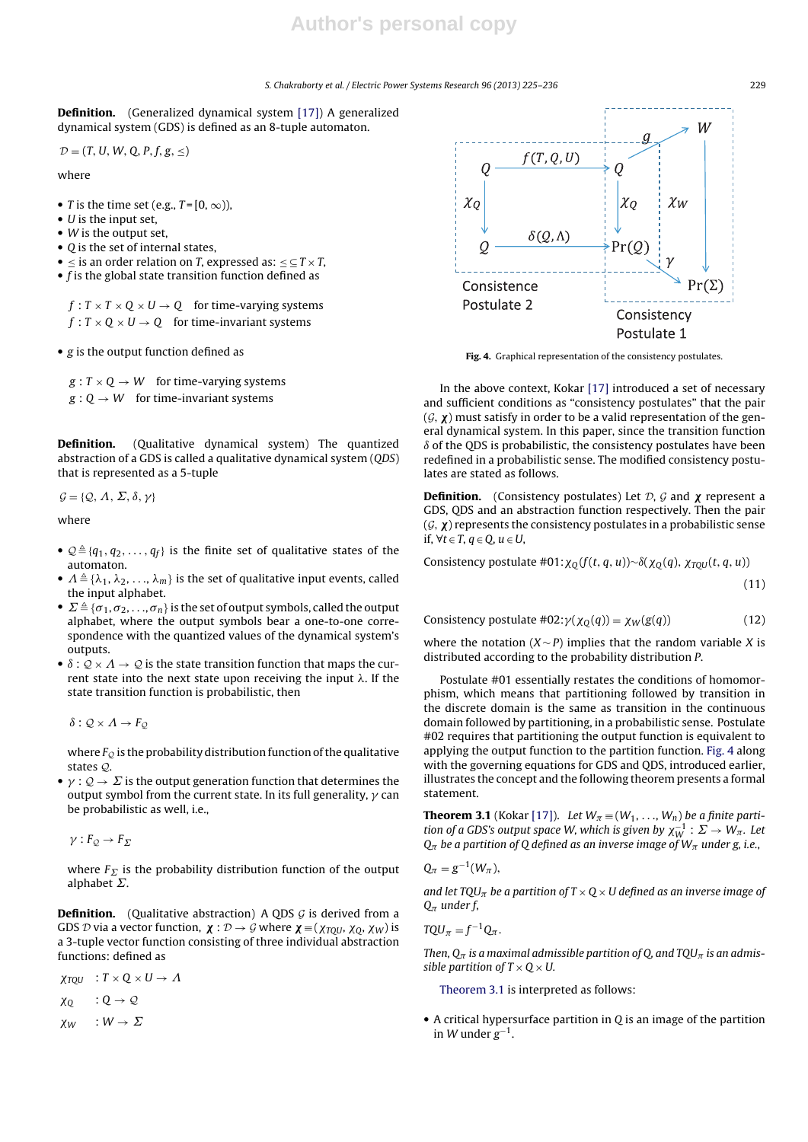**Definition.** (Generalized dynamical system [17]) A generalized dynamical system (GDS) is defined as an 8-tuple automaton.

 $\mathcal{D} = (T, U, W, Q, P, f, g, \leq)$ 

where

- T is the time set (e.g.,  $T = [0, \infty)$ ),
- U is the input set,
- W is the output set.
- *O* is the set of internal states,
- $\leq$  is an order relation on T, expressed as:  $\leq$   $\subset$   $T \times T$ ,
- $\bullet$  f is the global state transition function defined as

 $f: T \times T \times Q \times U \rightarrow Q$  for time-varying systems  $f: T \times Q \times U \rightarrow Q$  for time-invariant systems

• g is the output function defined as

 $g: T \times Q \rightarrow W$  for time-varying systems  $g: Q \rightarrow W$  for time-invariant systems

**Definition.** (Qualitative dynamical system) The quantized abstraction of a GDS is called a qualitative dynamical system (QDS) that is represented as a 5-tuple

 $\mathcal{G} = \{ \mathcal{Q}, \Lambda, \Sigma, \delta, \gamma \}$ 

where

- $\mathcal{Q} \triangleq \{q_1, q_2, \ldots, q_f\}$  is the finite set of qualitative states of the automaton.
- $\Lambda \triangleq {\lambda_1, \lambda_2, ..., \lambda_m}$  is the set of qualitative input events, called the input alphabet.
- $\bullet \ \Sigma \!\triangleq\! \{\sigma_1, \sigma_2, \ldots, \sigma_n\}$  is the set of output symbols, called the output alphabet, where the output symbols bear a one-to-one correspondence with the quantized values of the dynamical system's outputs.
- $\delta: \mathcal{Q} \times \Lambda \to \mathcal{Q}$  is the state transition function that maps the current state into the next state upon receiving the input  $\lambda$ . If the state transition function is probabilistic, then

 $\delta: \mathcal{Q} \times \Lambda \rightarrow F_{\mathcal{Q}}$ 

where  $F_Q$  is the probability distribution function of the qualitative states Q.

•  $\gamma: \mathcal{Q} \to \Sigma$  is the output generation function that determines the output symbol from the current state. In its full generality,  $\nu$  can be probabilistic as well, i.e.,

$$
\gamma:F_{\mathcal{Q}}\rightarrow F_{\varSigma}
$$

where  $F_{\Sigma}$  is the probability distribution function of the output alphabet  $\Sigma$ .

**Definition.** (Qualitative abstraction) A QDS  $G$  is derived from a GDS  $\mathcal D$  via a vector function,  $\pmb \chi: \mathcal D \to \mathcal G$  where  $\pmb \chi \equiv$  (  $\chi_{TQU}, \, \chi_{Q}, \, \chi_W)$  is a 3-tuple vector function consisting of three individual abstraction functions: defined as

 $\chi_{TQU}$  :  $T \times Q \times U \rightarrow \Lambda$ 

$$
\chi_Q \qquad : Q \to \mathcal{Q}
$$

 $\chi_W$  $:W\rightarrow \Sigma$ 



**Fig. 4.** Graphical representation of the consistency postulates.

In the above context, Kokar [17] introduced a set of necessary and sufficient conditions as "consistency postulates" that the pair  $(\mathcal{G}, \chi)$  must satisfy in order to be a valid representation of the general dynamical system. In this paper, since the transition function  $\delta$  of the QDS is probabilistic, the consistency postulates have been redefined in a probabilistic sense. The modified consistency postulates are stated as follows.

**Definition.** (Consistency postulates) Let  $\mathcal{D}$ ,  $\mathcal{G}$  and  $\chi$  represent a GDS, QDS and an abstraction function respectively. Then the pair  $(\mathcal{G}, \chi)$  represents the consistency postulates in a probabilistic sense if,  $∀t ∈ T$ ,  $q ∈ Q$ ,  $u ∈ U$ ,

Consistency postulate #01: $\chi_{\mathcal{Q}}(f(t, q, u)) \sim \delta(\chi_{\mathcal{Q}}(q), \chi_{T\mathcal{Q}U}(t, q, u))$ 

$$
(11)
$$

Consistency postulate #02: $\gamma(\chi_Q(q)) = \chi_W(g(q))$  (12)

where the notation  $(X \sim P)$  implies that the random variable X is distributed according to the probability distribution P.

Postulate #01 essentially restates the conditions of homomorphism, which means that partitioning followed by transition in the discrete domain is the same as transition in the continuous domain followed by partitioning, in a probabilistic sense. Postulate #02 requires that partitioning the output function is equivalent to applying the output function to the partition function. Fig. 4 along with the governing equations for GDS and QDS, introduced earlier, illustrates the concept and the following theorem presents a formal statement.

**Theorem <b>3.1** (Kokar [17]). Let  $W_{\pi} \equiv (W_1, \ldots, W_n)$  be a finite partition of a GDS's output space W, which is given by  $\chi_W^{-1}:\Sigma\to W_\pi.$  Let  $Q_{\pi}$  be a partition of Q defined as an inverse image of  $W_{\pi}$  under g, i.e.,

$$
Q_{\pi}=g^{-1}(W_{\pi}),
$$

and let TQU<sub> $\pi$ </sub> be a partition of T  $\times$  Q  $\times$  U defined as an inverse image of  $Q_{\pi}$  under f,

$$
TQU_{\pi}=f^{-1}Q_{\pi}.
$$

Then,  $Q_{\pi}$  is a maximal admissible partition of Q, and TQU $_{\pi}$  is an admissible partition of  $T \times Q \times U$ .

Theorem 3.1 is interpreted as follows:

• A critical hypersurface partition in Q is an image of the partition in W under  $g^{-1}$ .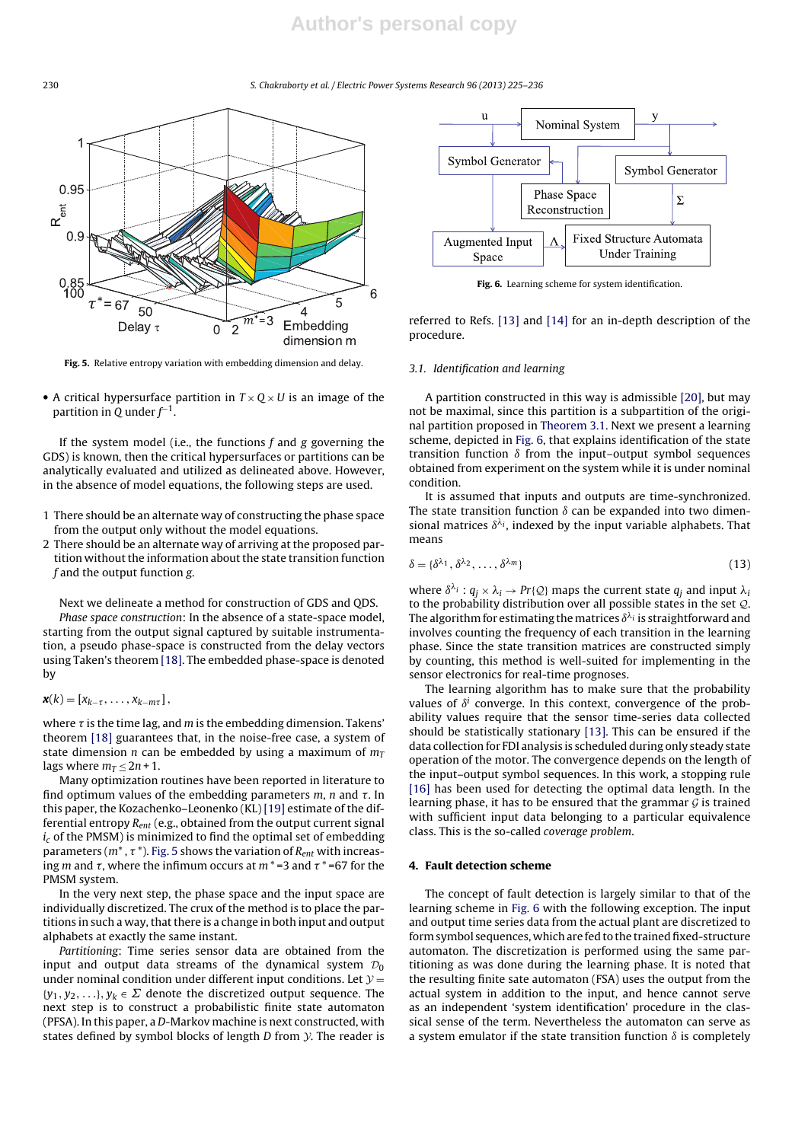

**Fig. 5.** Relative entropy variation with embedding dimension and delay.

• A critical hypersurface partition in  $T \times Q \times U$  is an image of the partition in Q under  $f^{-1}$ .

If the system model (i.e., the functions  $f$  and  $g$  governing the GDS) is known, then the critical hypersurfaces or partitions can be analytically evaluated and utilized as delineated above. However, in the absence of model equations, the following steps are used.

- 1 There should be an alternate way of constructing the phase space from the output only without the model equations.
- 2 There should be an alternate way of arriving at the proposed partition without the information about the state transition function f and the output function g.

Next we delineate a method for construction of GDS and QDS. Phase space construction: In the absence of a state-space model, starting from the output signal captured by suitable instrumentation, a pseudo phase-space is constructed from the delay vectors using Taken's theorem [18]. The embedded phase-space is denoted by

$$
\mathbf{x}(k) = [x_{k-\tau}, \ldots, x_{k-m\tau}],
$$

where  $\tau$  is the time lag, and m is the embedding dimension. Takens' theorem [18] guarantees that, in the noise-free case, a system of state dimension *n* can be embedded by using a maximum of  $m<sub>T</sub>$ lags where  $m<sub>T</sub> \leq 2n + 1$ .

Many optimization routines have been reported in literature to find optimum values of the embedding parameters  $m$ ,  $n$  and  $\tau$ . In this paper, the Kozachenko–Leonenko (KL) [19] estimate of the differential entropy  $R_{ent}$  (e.g., obtained from the output current signal  $i_c$  of the PMSM) is minimized to find the optimal set of embedding parameters ( $m^*$ ,  $\tau^*$ ). Fig. 5 shows the variation of  $R_{ent}$  with increasing *m* and  $\tau$ , where the infimum occurs at  $m^*$  =3 and  $\tau^*$  =67 for the PMSM system.

In the very next step, the phase space and the input space are individually discretized. The crux of the method is to place the partitions in such a way, that there is a change in both input and output alphabets at exactly the same instant.

Partitioning: Time series sensor data are obtained from the input and output data streams of the dynamical system  $\mathcal{D}_0$ under nominal condition under different input conditions. Let  $y =$  $\{y_1, y_2, \ldots\}, y_k \in \Sigma$  denote the discretized output sequence. The next step is to construct a probabilistic finite state automaton (PFSA). In this paper, a D-Markov machine is next constructed, with states defined by symbol blocks of length  $D$  from  $\mathcal Y$ . The reader is



**Fig. 6.** Learning scheme for system identification.

referred to Refs. [13] and [14] for an in-depth description of the procedure.

#### 3.1. Identification and learning

A partition constructed in this way is admissible [20], but may not be maximal, since this partition is a subpartition of the original partition proposed in Theorem 3.1. Next we present a learning scheme, depicted in Fig. 6, that explains identification of the state transition function  $\delta$  from the input–output symbol sequences obtained from experiment on the system while it is under nominal condition.

It is assumed that inputs and outputs are time-synchronized. The state transition function  $\delta$  can be expanded into two dimensional matrices  $\delta^{\lambda_i}$ , indexed by the input variable alphabets. That means

$$
\delta = \{ \delta^{\lambda_1}, \delta^{\lambda_2}, \dots, \delta^{\lambda_m} \}
$$
 (13)

where  $\delta^{\lambda_i}$ :  $q_i \times \lambda_i \rightarrow Pr\{\mathcal{Q}\}\}$  maps the current state  $q_i$  and input  $\lambda_i$ to the probability distribution over all possible states in the set Q. The algorithm for estimating the matrices  $\delta^{\lambda_i}$  is straightforward and involves counting the frequency of each transition in the learning phase. Since the state transition matrices are constructed simply by counting, this method is well-suited for implementing in the sensor electronics for real-time prognoses.

The learning algorithm has to make sure that the probability values of  $\delta^i$  converge. In this context, convergence of the probability values require that the sensor time-series data collected should be statistically stationary [13]. This can be ensured if the data collection for FDI analysis is scheduled during only steady state operation of the motor. The convergence depends on the length of the input–output symbol sequences. In this work, a stopping rule [16] has been used for detecting the optimal data length. In the learning phase, it has to be ensured that the grammar  $\mathcal G$  is trained with sufficient input data belonging to a particular equivalence class. This is the so-called coverage problem.

# **4. Fault detection scheme**

The concept of fault detection is largely similar to that of the learning scheme in Fig. 6 with the following exception. The input and output time series data from the actual plant are discretized to form symbol sequences, which are fed to the trained fixed-structure automaton. The discretization is performed using the same partitioning as was done during the learning phase. It is noted that the resulting finite sate automaton (FSA) uses the output from the actual system in addition to the input, and hence cannot serve as an independent 'system identification' procedure in the classical sense of the term. Nevertheless the automaton can serve as a system emulator if the state transition function  $\delta$  is completely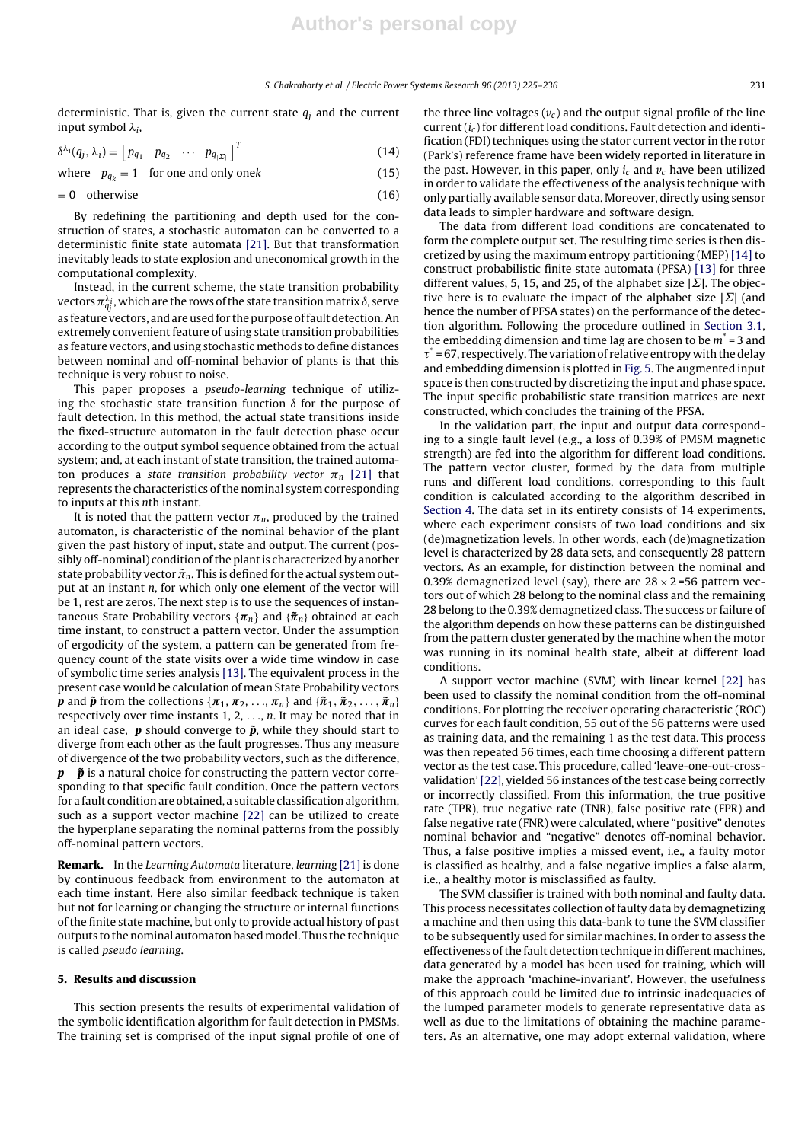deterministic. That is, given the current state  $q_i$  and the current input symbol  $\lambda_i$ ,

$$
\delta^{\lambda_i}(q_j,\lambda_i) = \begin{bmatrix} p_{q_1} & p_{q_2} & \cdots & p_{q_{|\Sigma|}} \end{bmatrix}^T
$$
\n(14)

where  $p_{q_k} = 1$  for one and only onek (15)

$$
= 0 \quad \text{otherwise} \tag{16}
$$

By redefining the partitioning and depth used for the construction of states, a stochastic automaton can be converted to a deterministic finite state automata [21]. But that transformation inevitably leads to state explosion and uneconomical growth in the computational complexity.

Instead, in the current scheme, the state transition probability vectors  $\pi^{\lambda_i}_{q_j}$  , which are the rows of the state transition matrix  $\delta$ , serve as feature vectors, and are used for the purpose of fault detection. An extremely convenient feature of using state transition probabilities as feature vectors, and using stochastic methods to define distances between nominal and off-nominal behavior of plants is that this technique is very robust to noise.

This paper proposes a pseudo-learning technique of utilizing the stochastic state transition function  $\delta$  for the purpose of fault detection. In this method, the actual state transitions inside the fixed-structure automaton in the fault detection phase occur according to the output symbol sequence obtained from the actual system; and, at each instant of state transition, the trained automaton produces a state transition probability vector  $\pi_n$  [21] that represents the characteristics ofthe nominal system corresponding to inputs at this nth instant.

It is noted that the pattern vector  $\pi_n$ , produced by the trained automaton, is characteristic of the nominal behavior of the plant given the past history of input, state and output. The current (possibly off-nominal) condition of the plant is characterized by another state probability vector  $\tilde{\pi}_n$ . This is defined for the actual system output at an instant n, for which only one element of the vector will be 1, rest are zeros. The next step is to use the sequences of instantaneous State Probability vectors  $\{\pi_n\}$  and  $\{\tilde{\pi}_n\}$  obtained at each time instant, to construct a pattern vector. Under the assumption of ergodicity of the system, a pattern can be generated from frequency count of the state visits over a wide time window in case of symbolic time series analysis [13]. The equivalent process in the present case would be calculation of mean State Probability vectors *p* and  $\tilde{\boldsymbol{p}}$  from the collections  $\{\boldsymbol{\pi}_1, \boldsymbol{\pi}_2, \dots, \boldsymbol{\pi}_n\}$  and  $\{\tilde{\boldsymbol{\pi}}_1, \tilde{\boldsymbol{\pi}}_2, \dots, \tilde{\boldsymbol{\pi}}_n\}$ respectively over time instants 1, 2, . . ., n. It may be noted that in an ideal case,  $\boldsymbol{p}$  should converge to  $\boldsymbol{\tilde{p}}$ , while they should start to diverge from each other as the fault progresses. Thus any measure of divergence of the two probability vectors, such as the difference,  $\mathbf{p} - \mathbf{\tilde{p}}$  is a natural choice for constructing the pattern vector corresponding to that specific fault condition. Once the pattern vectors for a fault condition are obtained, a suitable classification algorithm, such as a support vector machine [22] can be utilized to create the hyperplane separating the nominal patterns from the possibly off-nominal pattern vectors.

**Remark.** In the Learning Automata literature, learning [21] is done by continuous feedback from environment to the automaton at each time instant. Here also similar feedback technique is taken but not for learning or changing the structure or internal functions ofthe finite state machine, but only to provide actual history of past outputs to the nominal automaton based model. Thus the technique is called pseudo learning.

# **5. Results and discussion**

This section presents the results of experimental validation of the symbolic identification algorithm for fault detection in PMSMs. The training set is comprised of the input signal profile of one of the three line voltages  $(v_c)$  and the output signal profile of the line current  $(i_c)$  for different load conditions. Fault detection and identification (FDI) techniques using the stator current vector in the rotor (Park's) reference frame have been widely reported in literature in the past. However, in this paper, only  $i_c$  and  $v_c$  have been utilized in order to validate the effectiveness of the analysis technique with only partially available sensor data. Moreover, directly using sensor data leads to simpler hardware and software design.

The data from different load conditions are concatenated to form the complete output set. The resulting time series is then discretized by using the maximum entropy partitioning (MEP) [14] to construct probabilistic finite state automata (PFSA) [13] for three different values, 5, 15, and 25, of the alphabet size  $|\Sigma|$ . The objective here is to evaluate the impact of the alphabet size  $|\Sigma|$  (and hence the number of PFSA states) on the performance of the detection algorithm. Following the procedure outlined in Section 3.1, the embedding dimension and time lag are chosen to be  $m^* = 3$  and  $\tau^*$  = 67, respectively. The variation of relative entropy with the delay and embedding dimension is plotted in Fig. 5. The augmented input space is then constructed by discretizing the input and phase space. The input specific probabilistic state transition matrices are next constructed, which concludes the training of the PFSA.

In the validation part, the input and output data corresponding to a single fault level (e.g., a loss of 0.39% of PMSM magnetic strength) are fed into the algorithm for different load conditions. The pattern vector cluster, formed by the data from multiple runs and different load conditions, corresponding to this fault condition is calculated according to the algorithm described in Section 4. The data set in its entirety consists of 14 experiments, where each experiment consists of two load conditions and six (de)magnetization levels. In other words, each (de)magnetization level is characterized by 28 data sets, and consequently 28 pattern vectors. As an example, for distinction between the nominal and 0.39% demagnetized level (say), there are  $28 \times 2$ =56 pattern vectors out of which 28 belong to the nominal class and the remaining 28 belong to the 0.39% demagnetized class. The success or failure of the algorithm depends on how these patterns can be distinguished from the pattern cluster generated by the machine when the motor was running in its nominal health state, albeit at different load conditions.

A support vector machine (SVM) with linear kernel [22] has been used to classify the nominal condition from the off-nominal conditions. For plotting the receiver operating characteristic (ROC) curves for each fault condition, 55 out of the 56 patterns were used as training data, and the remaining 1 as the test data. This process was then repeated 56 times, each time choosing a different pattern vector as the test case. This procedure, called 'leave-one-out-crossvalidation' [22], yielded 56 instances of the test case being correctly or incorrectly classified. From this information, the true positive rate (TPR), true negative rate (TNR), false positive rate (FPR) and false negative rate (FNR) were calculated, where "positive" denotes nominal behavior and "negative" denotes off-nominal behavior. Thus, a false positive implies a missed event, i.e., a faulty motor is classified as healthy, and a false negative implies a false alarm, i.e., a healthy motor is misclassified as faulty.

The SVM classifier is trained with both nominal and faulty data. This process necessitates collection of faulty data by demagnetizing a machine and then using this data-bank to tune the SVM classifier to be subsequently used for similar machines. In order to assess the effectiveness of the fault detection technique in different machines, data generated by a model has been used for training, which will make the approach 'machine-invariant'. However, the usefulness of this approach could be limited due to intrinsic inadequacies of the lumped parameter models to generate representative data as well as due to the limitations of obtaining the machine parameters. As an alternative, one may adopt external validation, where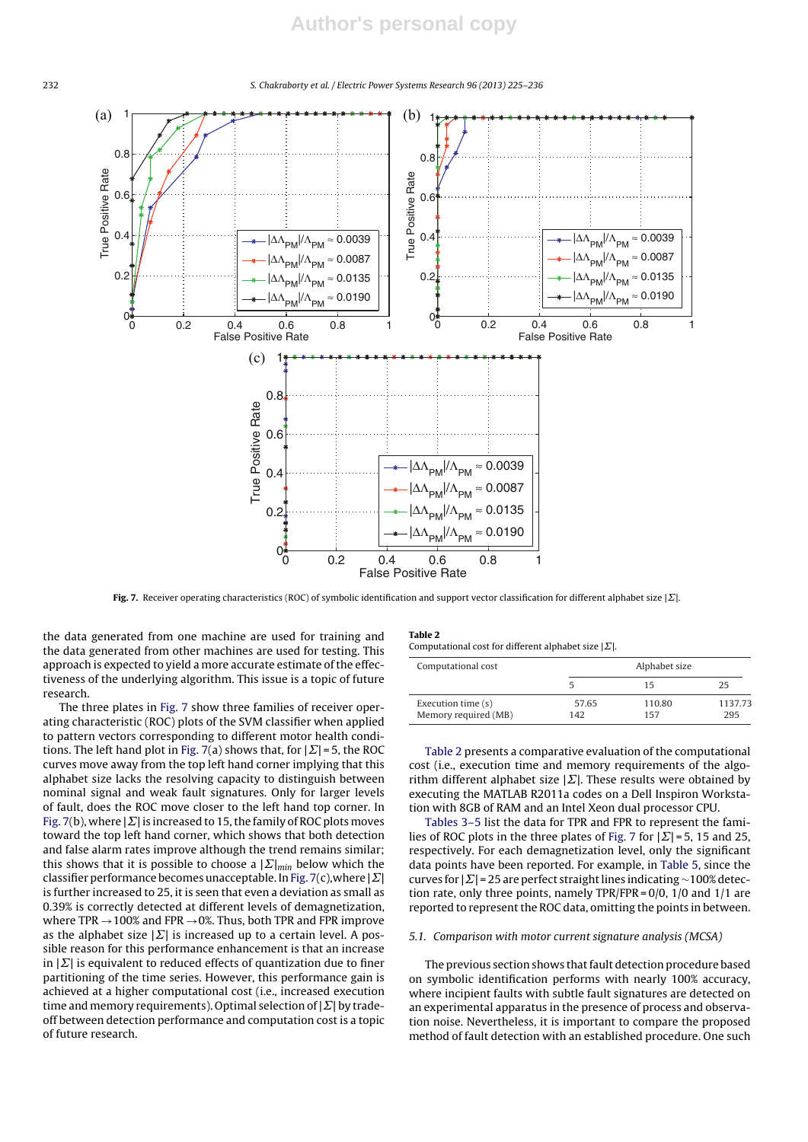

Fig. 7. Receiver operating characteristics (ROC) of symbolic identification and support vector classification for different alphabet size |  $\Sigma$ |.

the data generated from one machine are used for training and the data generated from other machines are used for testing. This approach is expected to yield a more accurate estimate of the effectiveness of the underlying algorithm. This issue is a topic of future research.

The three plates in Fig. 7 show three families of receiver operating characteristic (ROC) plots of the SVM classifier when applied to pattern vectors corresponding to different motor health conditions. The left hand plot in Fig. 7(a) shows that, for  $|\Sigma|=5$ , the ROC curves move away from the top left hand corner implying that this alphabet size lacks the resolving capacity to distinguish between nominal signal and weak fault signatures. Only for larger levels of fault, does the ROC move closer to the left hand top corner. In Fig. 7(b), where  $|\Sigma|$  is increased to 15, the family of ROC plots moves toward the top left hand corner, which shows that both detection and false alarm rates improve although the trend remains similar; this shows that it is possible to choose a  $|\Sigma|_{min}$  below which the classifier performance becomes unacceptable. In Fig. 7(c), where  $|\Sigma|$ is further increased to 25, it is seen that even a deviation as small as 0.39% is correctly detected at different levels of demagnetization, where TPR  $\rightarrow$  100% and FPR  $\rightarrow$  0%. Thus, both TPR and FPR improve as the alphabet size  $|\Sigma|$  is increased up to a certain level. A possible reason for this performance enhancement is that an increase in  $|\Sigma|$  is equivalent to reduced effects of quantization due to finer partitioning of the time series. However, this performance gain is achieved at a higher computational cost (i.e., increased execution time and memory requirements). Optimal selection of  $|\Sigma|$  by tradeoff between detection performance and computation cost is a topic of future research.

#### **Table 2** Computational cost for different alphabet size  $|\Sigma|$ .

| Computational cost                         |              | Alphabet size |                |
|--------------------------------------------|--------------|---------------|----------------|
|                                            |              | 15            | 25             |
| Execution time (s)<br>Memory required (MB) | 57.65<br>142 | 110.80<br>157 | 1137.73<br>295 |

Table 2 presents a comparative evaluation of the computational cost (i.e., execution time and memory requirements of the algorithm different alphabet size  $|\Sigma|$ . These results were obtained by executing the MATLAB R2011a codes on a Dell Inspiron Workstation with 8GB of RAM and an Intel Xeon dual processor CPU.

Tables 3–5 list the data for TPR and FPR to represent the families of ROC plots in the three plates of Fig. 7 for  $|\Sigma|$  = 5, 15 and 25, respectively. For each demagnetization level, only the significant data points have been reported. For example, in Table 5, since the curves for  $|\Sigma|$  = 25 are perfect straight lines indicating ~100% detection rate, only three points, namely TPR/FPR =  $0/0$ ,  $1/0$  and  $1/1$  are reported to represent the ROC data, omitting the points in between.

# 5.1. Comparison with motor current signature analysis (MCSA)

The previous section shows that fault detection procedure based on symbolic identification performs with nearly 100% accuracy, where incipient faults with subtle fault signatures are detected on an experimental apparatus in the presence of process and observation noise. Nevertheless, it is important to compare the proposed method of fault detection with an established procedure. One such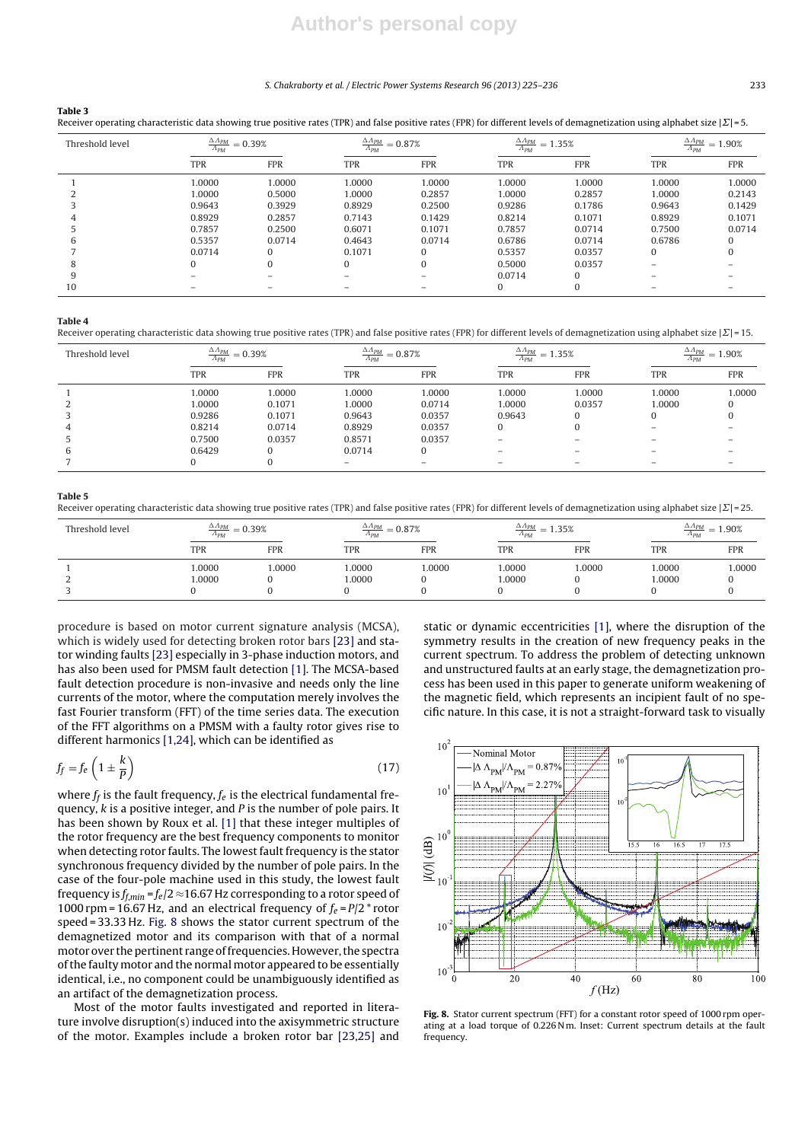# **Author's personal copy**

### S. Chakraborty et al. / Electric Power Systems Research *96 (2013) 225–236* 233

#### **Table 3**

Receiver operating characteristic data showing true positive rates (TPR) and false positive rates (FPR) for different levels of demagnetization using alphabet size  $|\Sigma|$  = 5.

| Threshold level | $\frac{\Delta A_{PM}}{\Delta A} = 0.39\%$<br>$A_{PM}$ |            | $\frac{\Delta A_{PM}}{4} = 0.87\%$<br>$A_{PM}$ |            | $\Delta A_{PM}$<br>$= 1.35%$<br>$A_{PM}$ |            | $\Delta A_{PM}$<br>$= 1.90%$<br>$A_{PM}$ |            |
|-----------------|-------------------------------------------------------|------------|------------------------------------------------|------------|------------------------------------------|------------|------------------------------------------|------------|
|                 | <b>TPR</b>                                            | <b>FPR</b> | TPR                                            | <b>FPR</b> | <b>TPR</b>                               | <b>FPR</b> | <b>TPR</b>                               | <b>FPR</b> |
|                 | 1.0000                                                | 1.0000     | 1.0000                                         | 1.0000     | 1.0000                                   | 1.0000     | 1.0000                                   | 1.0000     |
|                 | 1.0000                                                | 0.5000     | 1.0000                                         | 0.2857     | 1.0000                                   | 0.2857     | 1.0000                                   | 0.2143     |
|                 | 0.9643                                                | 0.3929     | 0.8929                                         | 0.2500     | 0.9286                                   | 0.1786     | 0.9643                                   | 0.1429     |
|                 | 0.8929                                                | 0.2857     | 0.7143                                         | 0.1429     | 0.8214                                   | 0.1071     | 0.8929                                   | 0.1071     |
|                 | 0.7857                                                | 0.2500     | 0.6071                                         | 0.1071     | 0.7857                                   | 0.0714     | 0.7500                                   | 0.0714     |
|                 | 0.5357                                                | 0.0714     | 0.4643                                         | 0.0714     | 0.6786                                   | 0.0714     | 0.6786                                   | $\Omega$   |
|                 | 0.0714                                                | $\bf{0}$   | 0.1071                                         |            | 0.5357                                   | 0.0357     | $\Omega$                                 | 0          |
|                 |                                                       | $\bf{0}$   | $\Omega$                                       | $\Omega$   | 0.5000                                   | 0.0357     | -                                        |            |
|                 |                                                       | $\equiv$   | $-$                                            |            | 0.0714                                   |            |                                          |            |
| 10              |                                                       |            |                                                |            | $\Omega$                                 |            |                                          |            |

## **Table 4**

Receiver operating characteristic data showing true positive rates (TPR) and false positive rates (FPR) for different levels of demagnetization using alphabet size  $|\Sigma|$  = 15.

| Threshold level | $\Delta A_{PM}$<br>$A_{PM}$ | $= 0.39%$  |            | $\Delta A_{PM}$<br>$= 0.87%$<br>$A_{PM}$ |            | $\Delta A_{PM}$<br>$= 1.35%$<br>$A_{DM}$ |            | $\Delta A_{PM}$<br>$= 1.90%$<br>$A_{PM}$ |  |
|-----------------|-----------------------------|------------|------------|------------------------------------------|------------|------------------------------------------|------------|------------------------------------------|--|
|                 | <b>TPR</b>                  | <b>FPR</b> | <b>TPR</b> | <b>FPR</b>                               | <b>TPR</b> | <b>FPR</b>                               | <b>TPR</b> | <b>FPR</b>                               |  |
|                 | 1.0000                      | 0000.      | 0000.1     | 1.0000                                   | 1.0000     | 1.0000                                   | 1.0000     | 1.0000                                   |  |
|                 | 1.0000                      | 0.1071     | .0000      | 0.0714                                   | 1.0000     | 0.0357                                   | 1.0000     |                                          |  |
|                 | 0.9286                      | 0.1071     | 0.9643     | 0.0357                                   | 0.9643     |                                          |            |                                          |  |
|                 | 0.8214                      | 0.0714     | 0.8929     | 0.0357                                   | $\Omega$   |                                          |            |                                          |  |
|                 | 0.7500                      | 0.0357     | 0.8571     | 0.0357                                   | -          |                                          |            |                                          |  |
|                 | 0.6429                      |            | 0.0714     |                                          |            |                                          |            |                                          |  |
|                 |                             |            |            |                                          |            |                                          |            |                                          |  |

#### **Table 5**

Receiver operating characteristic data showing true positive rates (TPR) and false positive rates (FPR) for different levels of demagnetization using alphabet size  $|\Sigma|$  = 25.

| Threshold level | $\frac{\Delta A_{PM}}{4} = 0.39\%$<br>$A_{PM}$ |            | $\frac{\Delta A_{PM}}{4} = 0.87\%$<br>$A_{PM}$ |            | $\Delta A_{PM}$<br>$= 1.35%$<br>$A_{PM}$ |            | $\Delta A_{PM}$<br>$= 1.90%$<br>$A_{PM}$ |            |
|-----------------|------------------------------------------------|------------|------------------------------------------------|------------|------------------------------------------|------------|------------------------------------------|------------|
|                 | <b>TPR</b>                                     | <b>FPR</b> | TPR                                            | <b>FPR</b> | <b>TPR</b>                               | <b>FPR</b> | <b>TPR</b>                               | <b>FPR</b> |
|                 | 0000.                                          | 0000.      | .0000                                          | 1.0000     | 1.0000                                   | 1.0000     | 1.0000                                   | 1.0000     |
| ∼               | 0000.                                          |            | .0000                                          |            | 1.0000                                   |            | 1.0000                                   |            |
|                 |                                                |            |                                                |            |                                          |            |                                          |            |

procedure is based on motor current signature analysis (MCSA), which is widely used for detecting broken rotor bars [23] and stator winding faults [23] especially in 3-phase induction motors, and has also been used for PMSM fault detection [1]. The MCSA-based fault detection procedure is non-invasive and needs only the line currents of the motor, where the computation merely involves the fast Fourier transform (FFT) of the time series data. The execution of the FFT algorithms on a PMSM with a faulty rotor gives rise to different harmonics [1,24], which can be identified as

$$
f_f = f_e \left( 1 \pm \frac{k}{P} \right) \tag{17}
$$

where  $f_f$  is the fault frequency,  $f_e$  is the electrical fundamental frequency,  $k$  is a positive integer, and  $P$  is the number of pole pairs. It has been shown by Roux et al. [1] that these integer multiples of the rotor frequency are the best frequency components to monitor when detecting rotor faults. The lowest fault frequency is the stator synchronous frequency divided by the number of pole pairs. In the case of the four-pole machine used in this study, the lowest fault frequency is  $f_{f,min} = f_e/2 \approx 16.67$  Hz corresponding to a rotor speed of 1000 rpm = 16.67 Hz, and an electrical frequency of  $f_e = P/2$  \* rotor speed = 33.33 Hz. Fig. 8 shows the stator current spectrum of the demagnetized motor and its comparison with that of a normal motor over the pertinent range of frequencies. However, the spectra ofthe faulty motor and the normal motor appeared to be essentially identical, i.e., no component could be unambiguously identified as an artifact of the demagnetization process.

Most of the motor faults investigated and reported in literature involve disruption(s) induced into the axisymmetric structure of the motor. Examples include a broken rotor bar [23,25] and static or dynamic eccentricities [1], where the disruption of the symmetry results in the creation of new frequency peaks in the current spectrum. To address the problem of detecting unknown and unstructured faults at an early stage, the demagnetization process has been used in this paper to generate uniform weakening of the magnetic field, which represents an incipient fault of no specific nature. In this case, it is not a straight-forward task to visually



**Fig. 8.** Stator current spectrum (FFT) for a constant rotor speed of 1000 rpm operating at a load torque of 0.226 N m. Inset: Current spectrum details at the fault frequency.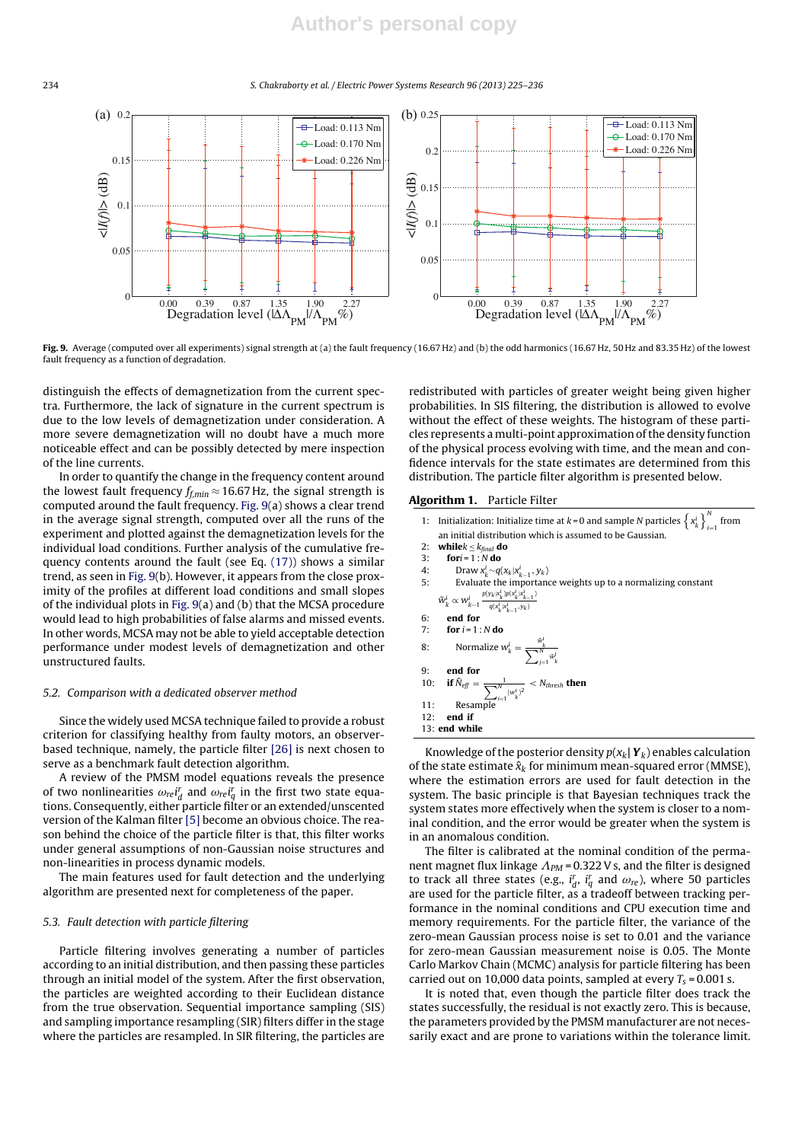

**Fig. 9.** Average (computed over all experiments) signal strength at (a) the fault frequency (16.67 Hz) and (b) the odd harmonics (16.67 Hz, 50 Hz and 83.35 Hz) of the lowest fault frequency as a function of degradation.

distinguish the effects of demagnetization from the current spectra. Furthermore, the lack of signature in the current spectrum is due to the low levels of demagnetization under consideration. A more severe demagnetization will no doubt have a much more noticeable effect and can be possibly detected by mere inspection of the line currents.

In order to quantify the change in the frequency content around the lowest fault frequency  $f_{f,min} \approx 16.67$  Hz, the signal strength is computed around the fault frequency. Fig. 9(a) shows a clear trend in the average signal strength, computed over all the runs of the experiment and plotted against the demagnetization levels for the individual load conditions. Further analysis of the cumulative frequency contents around the fault (see Eq. (17)) shows a similar trend, as seen in Fig. 9(b). However, it appears from the close proximity of the profiles at different load conditions and small slopes of the individual plots in Fig. 9(a) and (b) that the MCSA procedure would lead to high probabilities of false alarms and missed events. In other words, MCSA may not be able to yield acceptable detection performance under modest levels of demagnetization and other unstructured faults.

# 5.2. Comparison with a dedicated observer method

Since the widely used MCSA technique failed to provide a robust criterion for classifying healthy from faulty motors, an observerbased technique, namely, the particle filter [26] is next chosen to serve as a benchmark fault detection algorithm.

A review of the PMSM model equations reveals the presence of two nonlinearities  $\omega_{re}i_{d}^{r}$  and  $\omega_{re}i_{q}^{r}$  in the first two state equations. Consequently, either particle filter or an extended/unscented version of the Kalman filter [5] become an obvious choice. The reason behind the choice of the particle filter is that, this filter works under general assumptions of non-Gaussian noise structures and non-linearities in process dynamic models.

The main features used for fault detection and the underlying algorithm are presented next for completeness of the paper.

# 5.3. Fault detection with particle filtering

Particle filtering involves generating a number of particles according to an initial distribution, and then passing these particles through an initial model of the system. After the first observation, the particles are weighted according to their Euclidean distance from the true observation. Sequential importance sampling (SIS) and sampling importance resampling (SIR) filters differ in the stage where the particles are resampled. In SIR filtering, the particles are

redistributed with particles of greater weight being given higher probabilities. In SIS filtering, the distribution is allowed to evolve without the effect of these weights. The histogram of these particles represents a multi-point approximation ofthe density function of the physical process evolving with time, and the mean and confidence intervals for the state estimates are determined from this distribution. The particle filter algorithm is presented below.

# **Algorithm 1.** Particle Filter

| Initialization: Initialize time at $k=0$ and sample N particles $\left\{x_k^i\right\}_{i=1}^N$ from<br>1: |
|-----------------------------------------------------------------------------------------------------------|
| an initial distribution which is assumed to be Gaussian.                                                  |
| while $k \leq k_{final}$ do<br>2:                                                                         |
| for $i = 1 : N$ do<br>3:                                                                                  |
| Draw $x_k^i$ ~ $q(x_k x_{k-1}^i, y_k)$<br>4:                                                              |
| 5:<br>Evaluate the importance weights up to a normalizing constant                                        |
| $\tilde{w}_k^i \propto w_{k-1}^i \frac{p(y_k x_k^i)p(x_k^i x_{k-1}^i)}{q(x_i^i x_i^i,y_k)}$               |
| 6: end for                                                                                                |
| 7:<br>for $i = 1:N$ do                                                                                    |
| Normalize $w_k^i = \frac{\tilde{w}_k^i}{\sum_{k=1}^{N} \tilde{w}_k^j}$<br>8:                              |
| end for<br>9:                                                                                             |
| if $\hat{N}_{\text{eff}} = \frac{1}{\sum_{i=1}^{N} (w_k^i)^2} < N_{\text{thresh}}$ then<br>10:            |
| Resample<br>11:                                                                                           |
| end if<br>12:                                                                                             |
| 13: end while                                                                                             |

Knowledge of the posterior density  $p(x_k | Y_k)$  enables calculation of the state estimate  $\hat{x}_k$  for minimum mean-squared error (MMSE), where the estimation errors are used for fault detection in the system. The basic principle is that Bayesian techniques track the system states more effectively when the system is closer to a nominal condition, and the error would be greater when the system is in an anomalous condition.

The filter is calibrated at the nominal condition of the permanent magnet flux linkage  $\Lambda_{PM}$  = 0.322 V s, and the filter is designed to track all three states (e.g.,  $i_d^r$ ,  $i_q^r$  and  $\omega_{re}$ ), where 50 particles are used for the particle filter, as a tradeoff between tracking performance in the nominal conditions and CPU execution time and memory requirements. For the particle filter, the variance of the zero-mean Gaussian process noise is set to 0.01 and the variance for zero-mean Gaussian measurement noise is 0.05. The Monte Carlo Markov Chain (MCMC) analysis for particle filtering has been carried out on 10,000 data points, sampled at every  $T_s = 0.001$  s.

It is noted that, even though the particle filter does track the states successfully, the residual is not exactly zero. This is because, the parameters provided by the PMSM manufacturer are not necessarily exact and are prone to variations within the tolerance limit.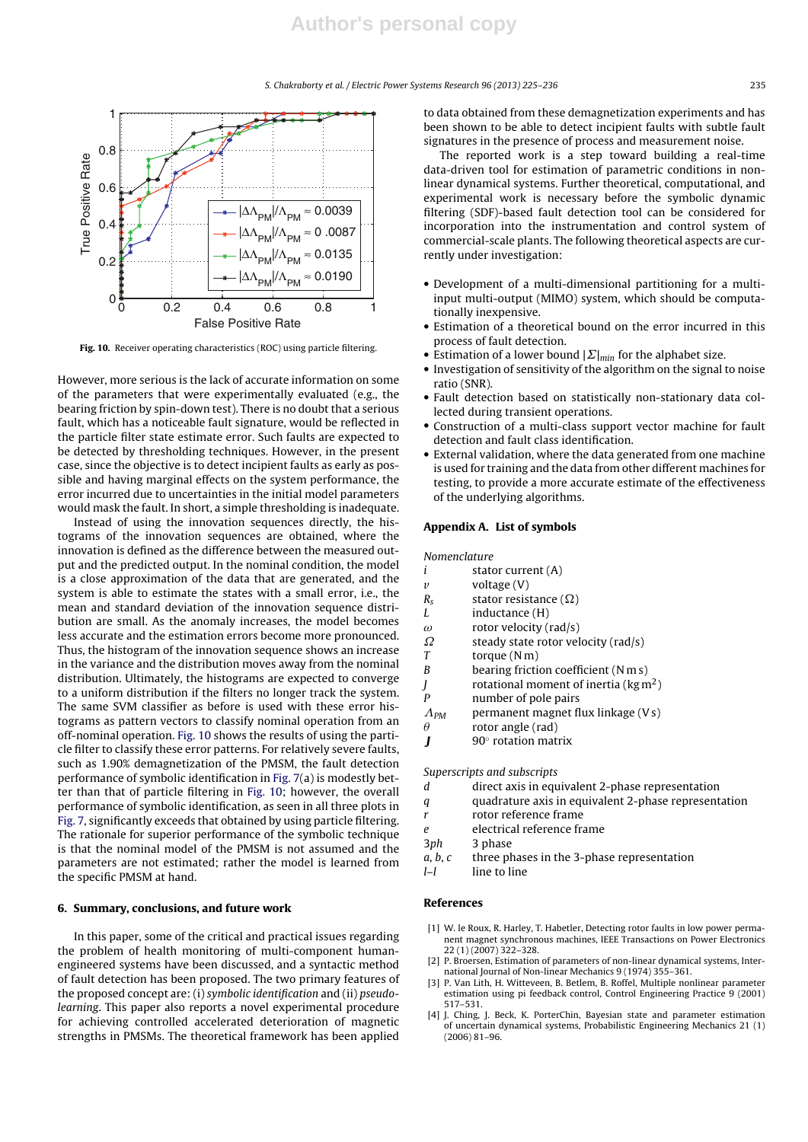

**Fig. 10.** Receiver operating characteristics (ROC) using particle filtering.

However, more serious is the lack of accurate information on some of the parameters that were experimentally evaluated (e.g., the bearing friction by spin-down test). There is no doubt that a serious fault, which has a noticeable fault signature, would be reflected in the particle filter state estimate error. Such faults are expected to be detected by thresholding techniques. However, in the present case, since the objective is to detect incipient faults as early as possible and having marginal effects on the system performance, the error incurred due to uncertainties in the initial model parameters would mask the fault. In short, a simple thresholding is inadequate.

Instead of using the innovation sequences directly, the histograms of the innovation sequences are obtained, where the innovation is defined as the difference between the measured output and the predicted output. In the nominal condition, the model is a close approximation of the data that are generated, and the system is able to estimate the states with a small error, i.e., the mean and standard deviation of the innovation sequence distribution are small. As the anomaly increases, the model becomes less accurate and the estimation errors become more pronounced. Thus, the histogram of the innovation sequence shows an increase in the variance and the distribution moves away from the nominal distribution. Ultimately, the histograms are expected to converge to a uniform distribution if the filters no longer track the system. The same SVM classifier as before is used with these error histograms as pattern vectors to classify nominal operation from an off-nominal operation. Fig. 10 shows the results of using the particle filter to classify these error patterns. For relatively severe faults, such as 1.90% demagnetization of the PMSM, the fault detection performance of symbolic identification in Fig. 7(a) is modestly better than that of particle filtering in Fig. 10; however, the overall performance of symbolic identification, as seen in all three plots in Fig. 7, significantly exceeds that obtained by using particle filtering. The rationale for superior performance of the symbolic technique is that the nominal model of the PMSM is not assumed and the parameters are not estimated; rather the model is learned from the specific PMSM at hand.

#### **6. Summary, conclusions, and future work**

In this paper, some of the critical and practical issues regarding the problem of health monitoring of multi-component humanengineered systems have been discussed, and a syntactic method of fault detection has been proposed. The two primary features of the proposed concept are: (i) symbolic identification and (ii) pseudolearning. This paper also reports a novel experimental procedure for achieving controlled accelerated deterioration of magnetic strengths in PMSMs. The theoretical framework has been applied

to data obtained from these demagnetization experiments and has been shown to be able to detect incipient faults with subtle fault signatures in the presence of process and measurement noise.

The reported work is a step toward building a real-time data-driven tool for estimation of parametric conditions in nonlinear dynamical systems. Further theoretical, computational, and experimental work is necessary before the symbolic dynamic filtering (SDF)-based fault detection tool can be considered for incorporation into the instrumentation and control system of commercial-scale plants. The following theoretical aspects are currently under investigation:

- Development of a multi-dimensional partitioning for a multiinput multi-output (MIMO) system, which should be computationally inexpensive.
- Estimation of a theoretical bound on the error incurred in this process of fault detection.
- Estimation of a lower bound  $|\Sigma|_{min}$  for the alphabet size.
- Investigation of sensitivity of the algorithm on the signal to noise ratio (SNR).
- Fault detection based on statistically non-stationary data collected during transient operations.
- Construction of a multi-class support vector machine for fault detection and fault class identification.
- External validation, where the data generated from one machine is used for training and the data from other different machines for testing, to provide a more accurate estimate of the effectiveness of the underlying algorithms.

### **Appendix A. List of symbols**

Nomenclature

i stator current (A) *v* voltage (V)<br>  $R_s$  stator resist  $R_s$  stator resistance ( $\Omega$ )<br>
L inductance (H) inductance (H)  $\omega$  rotor velocity (rad/s)  $\Omega$  steady state rotor velocity (rad/s)  $T \qquad \text{torque (N m)}$ B bearing friction coefficient (N m s) J rotational moment of inertia (kg m<sup>2</sup>) P number of pole pairs  $A_{PM}$  permanent magnet flux linkage (Vs)  $\theta$  rotor angle (rad) **J** 90◦ rotation matrix

Superscripts and subscripts

- d direct axis in equivalent 2-phase representation
- q quadrature axis in equivalent 2-phase representation
- r rotor reference frame
- e electrical reference frame
- 3ph 3 phase
- $\overrightarrow{a}$ ,  $\overrightarrow{b}$ ,  $\overrightarrow{c}$  three phases in the 3-phase representation
- l–l line to line

# **References**

- [1] W. le Roux, R. Harley, T. Habetler, Detecting rotor faults in low power permanent magnet synchronous machines, IEEE Transactions on Power Electronics 22 (1) (2007) 322–328.
- [2] P. Broersen, Estimation of parameters of non-linear dynamical systems, International Journal of Non-linear Mechanics 9 (1974) 355–361.
- [3] P. Van Lith, H. Witteveen, B. Betlem, B. Roffel, Multiple nonlinear parameter estimation using pi feedback control, Control Engineering Practice 9 (2001) 517–531.
- [4] J. Ching, J. Beck, K. PorterChin, Bayesian state and parameter estimation of uncertain dynamical systems, Probabilistic Engineering Mechanics 21 (1) (2006) 81–96.